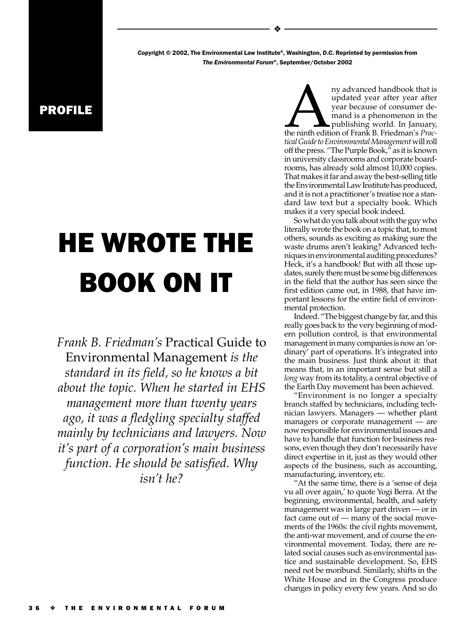Copyright © 2002, The Environmental Law Institute®, Washington, D.C. Reprinted by permission from The Environmental Forum®, September/October 2002

❖

## PROFILE

## HE WROTE THE BOOK ON IT

*Frank B. Friedman's* Practical Guide to Environmental Management *is the standard in its field, so he knows a bit about the topic. When he started in EHS management more than twenty years ago, it was a fledgling specialty staffed mainly by technicians and lawyers. Now it's part of a corporation's main business function. He should be satisfied. Why isn't he?*

ny advanced handbook that is<br>
updated year after year after<br>
year because of consumer de-<br>
mand is a phenomenon in the<br>
publishing world. In January,<br>
the ninth edition of Frank B. Friedman's *Prac-*<br>
tical Guide to Enviro updated year after year after year because of consumer demand is a phenomenon in the publishing world. In January, *tical Guide to Environmental Management* will roll off the press. "The Purple Book," as it is known in university classrooms and corporate boardrooms, has already sold almost 10,000 copies. That makes it far and away the best-selling title the Environmental Law Institute has produced, and it is not a practitioner's treatise nor a standard law text but a specialty book. Which makes it a very special book indeed.

So what do you talk about with the guy who literally wrote the book on a topic that, to most others, sounds as exciting as making sure the waste drums aren't leaking? Advanced techniques in environmental auditing procedures? Heck, it's a handbook! But with all those updates, surely there must be some big differences in the field that the author has seen since the first edition came out, in 1988, that have important lessons for the entire field of environmental protection.

Indeed. "The biggest change by far, and this really goes back to the very beginning of modern pollution control, is that environmental management in many companies is now an 'ordinary' part of operations. It's integrated into the main business. Just think about it: that means that, in an important sense but still a *long* way from its totality, a central objective of the Earth Day movement has been achieved.

"Environment is no longer a specialty branch staffed by technicians, including technician lawyers. Managers — whether plant managers or corporate management — are now responsible for environmental issues and have to handle that function for business reasons, even though they don't necessarily have direct expertise in it, just as they would other aspects of the business, such as accounting, manufacturing, inventory, etc.

"At the same time, there is a 'sense of deja vu all over again,' to quote Yogi Berra. At the beginning, environmental, health, and safety management was in large part driven — or in fact came out of — many of the social movements of the 1960s: the civil rights movement, the anti-war movement, and of course the environmental movement. Today, there are related social causes such as environmental justice and sustainable development. So, EHS need not be moribund. Similarly, shifts in the White House and in the Congress produce changes in policy every few years. And so do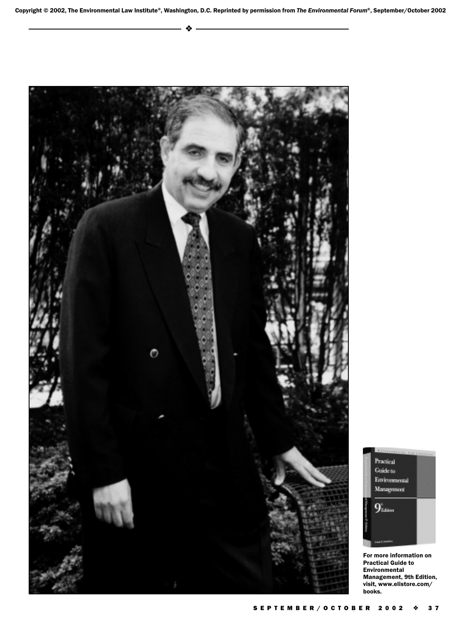



For more information on Practical Guide to Environmental Management, 9th Edition, visit, www.elistore.com/ books.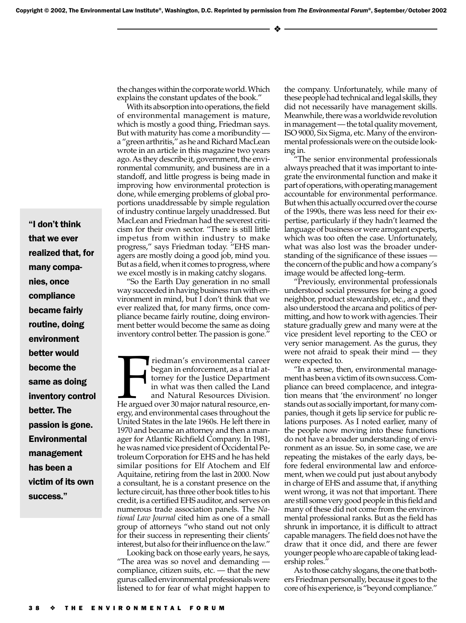❖

"I don't think that we ever realized that, for many companies, once compliance became fairly routine, doing environment better would become the same as doing inventory control better. The passion is gone. Environmental management has been a victim of its own success.

the changes within the corporate world. Which explains the constant updates of the book."

With its absorption into operations, the field of environmental management is mature, which is mostly a good thing, Friedman says. But with maturity has come a moribundity a "green arthritis," as he and Richard MacLean wrote in an article in this magazine two years ago. As they describe it, government, the environmental community, and business are in a standoff, and little progress is being made in improving how environmental protection is done, while emerging problems of global proportions unaddressable by simple regulation of industry continue largely unaddressed. But MacLean and Friedman had the severest criticism for their own sector. "There is still little impetus from within industry to make progress," says Friedman today. "EHS managers are mostly doing a good job, mind you. But as a field, when it comes to progress, where we excel mostly is in making catchy slogans.

"So the Earth Day generation in no small way succeeded in having business run with environment in mind, but I don't think that we ever realized that, for many firms, once compliance became fairly routine, doing environment better would become the same as doing inventory control better. The passion is gone.'

Fredman's environmental career<br>began in enforcement, as a trial at-<br>torney for the Justice Department<br>in what was then called the Land<br>and Natural Resources Division.<br>He argued over 30 major natural resource, en-<br>eroy and riedman's environmental career began in enforcement, as a trial attorney for the Justice Department in what was then called the Land and Natural Resources Division. ergy, and environmental cases throughout the United States in the late 1960s. He left there in 1970 and became an attorney and then a manager for Atlantic Richfield Company. In 1981, he was named vice president of Occidental Petroleum Corporation for EHS and he has held similar positions for Elf Atochem and Elf Aquitaine, retiring from the last in 2000. Now a consultant, he is a constant presence on the lecture circuit, has three other book titles to his credit, is a certified EHS auditor, and serves on numerous trade association panels. The *National Law Journal* cited him as one of a small group of attorneys "who stand out not only for their success in representing their clients' interest, but also for their influence on the law."

Looking back on those early years, he says, "The area was so novel and demanding compliance, citizen suits, etc. — that the new gurus called environmental professionals were listened to for fear of what might happen to

the company. Unfortunately, while many of these people had technical and legal skills, they did not necessarily have management skills. Meanwhile, there was a worldwide revolution in management — the total quality movement, ISO 9000, Six Sigma, etc. Many of the environmental professionals were on the outside looking in.

"The senior environmental professionals always preached that it was important to integrate the environmental function and make it part of operations, with operating management accountable for environmental performance. But when this actually occurred over the course of the 1990s, there was less need for their expertise, particularly if they hadn't learned the language of business or were arrogant experts, which was too often the case. Unfortunately, what was also lost was the broader understanding of the significance of these issues the concern of the public and how a company's image would be affected long–term.

"Previously, environmental professionals understood social pressures for being a good neighbor, product stewardship, etc., and they also understood the arcana and politics of permitting, and how to work with agencies. Their stature gradually grew and many were at the vice president level reporting to the CEO or very senior management. As the gurus, they were not afraid to speak their mind — they were expected to.

"In a sense, then, environmental management has been a victim of its own success. Compliance can breed complacence, and integration means that 'the environment' no longer stands out as socially important, for many companies, though it gets lip service for public relations purposes. As I noted earlier, many of the people now moving into these functions do not have a broader understanding of environment as an issue. So, in some case, we are repeating the mistakes of the early days, before federal environmental law and enforcement, when we could put just about anybody in charge of EHS and assume that, if anything went wrong, it was not that important. There are still some very good people in this field and many of these did not come from the environmental professional ranks. But as the field has shrunk in importance, it is difficult to attract capable managers. The field does not have the draw that it once did, and there are fewer younger people who are capable of taking leadership roles."

As to those catchy slogans, the one that bothers Friedman personally, because it goes to the core of his experience, is "beyond compliance."